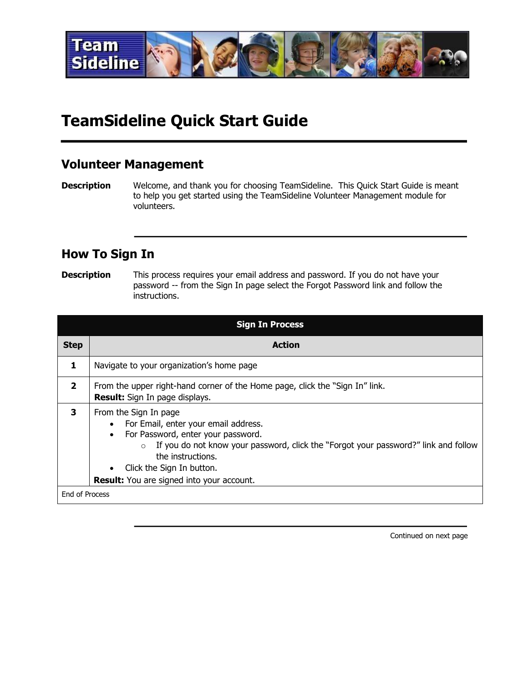

## **TeamSideline Quick Start Guide**

## **Volunteer Management**

**Description** Welcome, and thank you for choosing TeamSideline. This Quick Start Guide is meant to help you get started using the TeamSideline Volunteer Management module for volunteers.

## **How To Sign In**

**Description** This process requires your email address and password. If you do not have your password -- from the Sign In page select the Forgot Password link and follow the instructions.

|                | <b>Sign In Process</b>                                                                                                                                                                                                                                                                                                                             |
|----------------|----------------------------------------------------------------------------------------------------------------------------------------------------------------------------------------------------------------------------------------------------------------------------------------------------------------------------------------------------|
| <b>Step</b>    | <b>Action</b>                                                                                                                                                                                                                                                                                                                                      |
| 1              | Navigate to your organization's home page                                                                                                                                                                                                                                                                                                          |
| $\mathbf{2}$   | From the upper right-hand corner of the Home page, click the "Sign In" link.<br>Result: Sign In page displays.                                                                                                                                                                                                                                     |
| 3              | From the Sign In page<br>For Email, enter your email address.<br>$\bullet$<br>For Password, enter your password.<br>$\bullet$<br>If you do not know your password, click the "Forgot your password?" link and follow<br>$\circ$<br>the instructions.<br>Click the Sign In button.<br>$\bullet$<br><b>Result:</b> You are signed into your account. |
| End of Process |                                                                                                                                                                                                                                                                                                                                                    |

Continued on next page